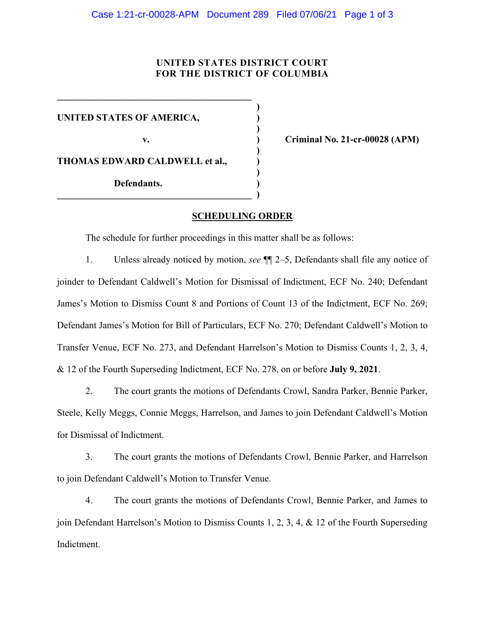## **UNITED STATES DISTRICT COURT FOR THE DISTRICT OF COLUMBIA**

**UNITED STATES OF AMERICA, )** 

**\_\_\_\_\_\_\_\_\_\_\_\_\_\_\_\_\_\_\_\_\_\_\_\_\_\_\_\_\_\_\_\_\_\_\_\_\_\_\_\_\_ )** 

 **)** 

 **)** 

 $\overline{\phantom{a}}$  , and the set of the set of the set of the set of the set of the set of the set of the set of the set of the set of the set of the set of the set of the set of the set of the set of the set of the set of the s

**THOMAS EDWARD CALDWELL et al., )** 

 **Defendants. )** 

**v. ) Criminal No. 21-cr-00028 (APM)** 

## **SCHEDULING ORDER**

**)** 

The schedule for further proceedings in this matter shall be as follows:

1. Unless already noticed by motion, *see* ¶¶ 2–5, Defendants shall file any notice of joinder to Defendant Caldwell's Motion for Dismissal of Indictment, ECF No. 240; Defendant James's Motion to Dismiss Count 8 and Portions of Count 13 of the Indictment, ECF No. 269; Defendant James's Motion for Bill of Particulars, ECF No. 270; Defendant Caldwell's Motion to Transfer Venue, ECF No. 273, and Defendant Harrelson's Motion to Dismiss Counts 1, 2, 3, 4, & 12 of the Fourth Superseding Indictment, ECF No. 278, on or before **July 9, 2021**.

2. The court grants the motions of Defendants Crowl, Sandra Parker, Bennie Parker, Steele, Kelly Meggs, Connie Meggs, Harrelson, and James to join Defendant Caldwell's Motion for Dismissal of Indictment.

3. The court grants the motions of Defendants Crowl, Bennie Parker, and Harrelson to join Defendant Caldwell's Motion to Transfer Venue.

4. The court grants the motions of Defendants Crowl, Bennie Parker, and James to join Defendant Harrelson's Motion to Dismiss Counts 1, 2, 3, 4, & 12 of the Fourth Superseding Indictment.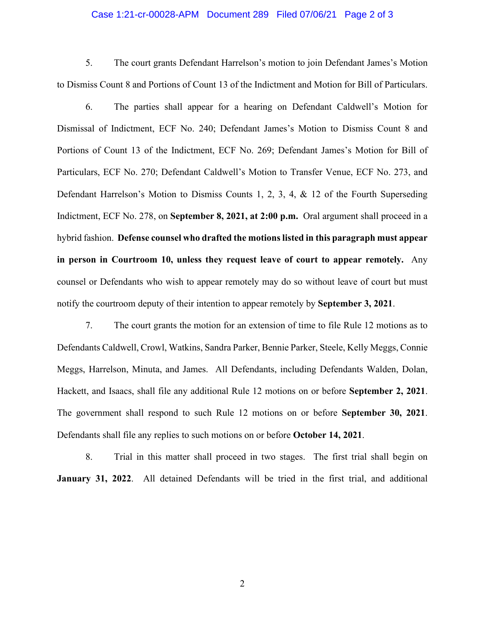## Case 1:21-cr-00028-APM Document 289 Filed 07/06/21 Page 2 of 3

5. The court grants Defendant Harrelson's motion to join Defendant James's Motion to Dismiss Count 8 and Portions of Count 13 of the Indictment and Motion for Bill of Particulars.

6. The parties shall appear for a hearing on Defendant Caldwell's Motion for Dismissal of Indictment, ECF No. 240; Defendant James's Motion to Dismiss Count 8 and Portions of Count 13 of the Indictment, ECF No. 269; Defendant James's Motion for Bill of Particulars, ECF No. 270; Defendant Caldwell's Motion to Transfer Venue, ECF No. 273, and Defendant Harrelson's Motion to Dismiss Counts 1, 2, 3, 4, & 12 of the Fourth Superseding Indictment, ECF No. 278, on **September 8, 2021, at 2:00 p.m.** Oral argument shall proceed in a hybrid fashion. **Defense counsel who drafted the motions listed in this paragraph must appear in person in Courtroom 10, unless they request leave of court to appear remotely.** Any counsel or Defendants who wish to appear remotely may do so without leave of court but must notify the courtroom deputy of their intention to appear remotely by **September 3, 2021**.

7. The court grants the motion for an extension of time to file Rule 12 motions as to Defendants Caldwell, Crowl, Watkins, Sandra Parker, Bennie Parker, Steele, Kelly Meggs, Connie Meggs, Harrelson, Minuta, and James. All Defendants, including Defendants Walden, Dolan, Hackett, and Isaacs, shall file any additional Rule 12 motions on or before **September 2, 2021**. The government shall respond to such Rule 12 motions on or before **September 30, 2021**. Defendants shall file any replies to such motions on or before **October 14, 2021**.

8. Trial in this matter shall proceed in two stages. The first trial shall begin on **January 31, 2022**. All detained Defendants will be tried in the first trial, and additional

2